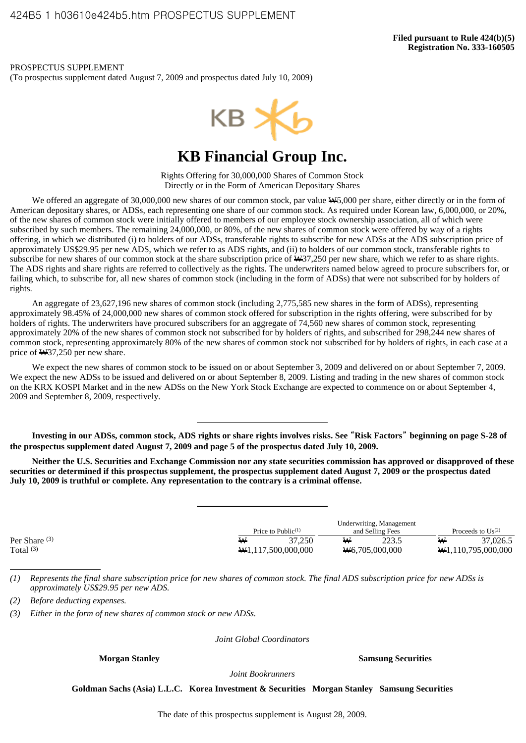PROSPECTUS SUPPLEMENT (To prospectus supplement dated August 7, 2009 and prospectus dated July 10, 2009)



# **KB Financial Group Inc.**

Rights Offering for 30,000,000 Shares of Common Stock Directly or in the Form of American Depositary Shares

We offered an aggregate of 30,000,000 new shares of our common stock, par value W5,000 per share, either directly or in the form of American depositary shares, or ADSs, each representing one share of our common stock. As required under Korean law, 6,000,000, or 20%, of the new shares of common stock were initially offered to members of our employee stock ownership association, all of which were subscribed by such members. The remaining 24,000,000, or 80%, of the new shares of common stock were offered by way of a rights offering, in which we distributed (i) to holders of our ADSs, transferable rights to subscribe for new ADSs at the ADS subscription price of approximately US\$29.95 per new ADS, which we refer to as ADS rights, and (ii) to holders of our common stock, transferable rights to subscribe for new shares of our common stock at the share subscription price of  $\text{W37,250}$  per new share, which we refer to as share rights. The ADS rights and share rights are referred to collectively as the rights. The underwriters named below agreed to procure subscribers for, or failing which, to subscribe for, all new shares of common stock (including in the form of ADSs) that were not subscribed for by holders of rights.

 An aggregate of 23,627,196 new shares of common stock (including 2,775,585 new shares in the form of ADSs), representing approximately 98.45% of 24,000,000 new shares of common stock offered for subscription in the rights offering, were subscribed for by holders of rights. The underwriters have procured subscribers for an aggregate of 74,560 new shares of common stock, representing approximately 20% of the new shares of common stock not subscribed for by holders of rights, and subscribed for 298,244 new shares of common stock, representing approximately 80% of the new shares of common stock not subscribed for by holders of rights, in each case at a price of W37,250 per new share.

We expect the new shares of common stock to be issued on or about September 3, 2009 and delivered on or about September 7, 2009. We expect the new ADSs to be issued and delivered on or about September 8, 2009. Listing and trading in the new shares of common stock on the KRX KOSPI Market and in the new ADSs on the New York Stock Exchange are expected to commence on or about September 4, 2009 and September 8, 2009, respectively.

 **Investing in our ADSs, common stock, ADS rights or share rights involves risks. See** "**Risk Factors**" **beginning on page S-28 of the prospectus supplement dated August 7, 2009 and page 5 of the prospectus dated July 10, 2009.**

 **Neither the U.S. Securities and Exchange Commission nor any state securities commission has approved or disapproved of these securities or determined if this prospectus supplement, the prospectus supplement dated August 7, 2009 or the prospectus dated July 10, 2009 is truthful or complete. Any representation to the contrary is a criminal offense.**

|                 | Underwriting, Management        |                              |                                 |
|-----------------|---------------------------------|------------------------------|---------------------------------|
|                 | Price to Public $(1)$           | and Selling Fees             | Proceeds to $Us^{(2)}$          |
| Per Share $(3)$ | ₩<br>37.250                     | 223.5<br>₩                   | 37,026.5<br>₩                   |
| Total $(3)$     | $\text{W1}, 117, 500, 000, 000$ | $\frac{4000,000}{2000,0000}$ | $\text{W1}, 110, 795, 000, 000$ |

*(1) Represents the final share subscription price for new shares of common stock. The final ADS subscription price for new ADSs is approximately US\$29.95 per new ADS.*

*(2) Before deducting expenses.*

*(3) Either in the form of new shares of common stock or new ADSs.*

*Joint Global Coordinators*

**Morgan Stanley Samsung Securities**

*Joint Bookrunners*

**Goldman Sachs (Asia) L.L.C. Korea Investment & Securities Morgan Stanley Samsung Securities**

The date of this prospectus supplement is August 28, 2009.